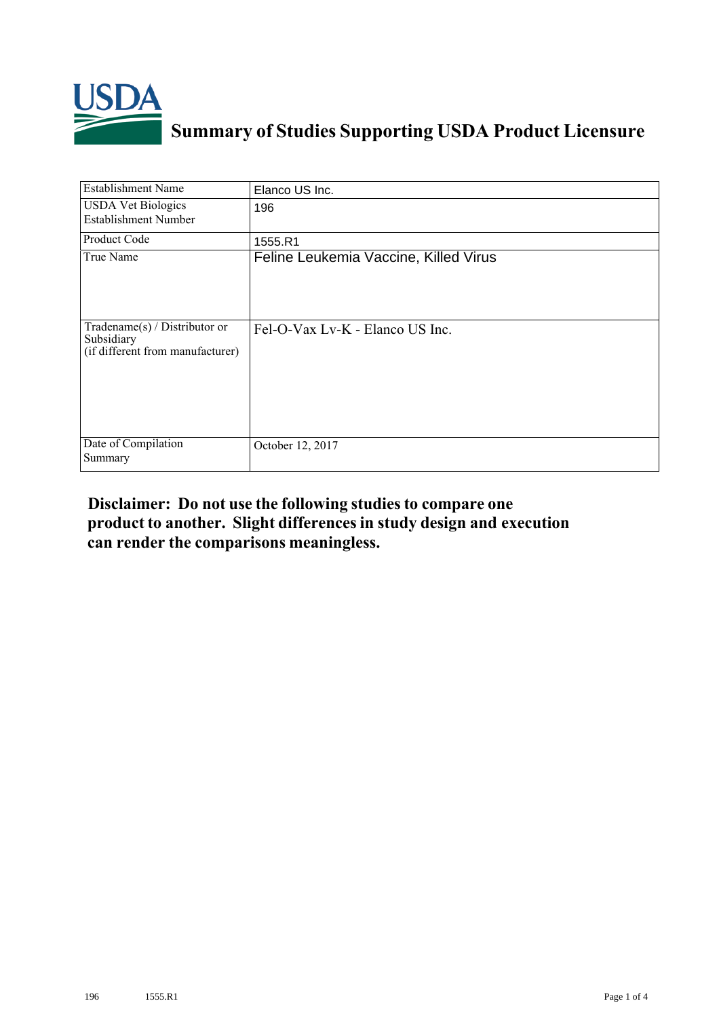

## **Summary of Studies Supporting USDA Product Licensure**

| <b>Establishment Name</b>                                                       | Elanco US Inc.                        |
|---------------------------------------------------------------------------------|---------------------------------------|
| <b>USDA Vet Biologics</b><br><b>Establishment Number</b>                        | 196                                   |
| Product Code                                                                    | 1555.R1                               |
| True Name                                                                       | Feline Leukemia Vaccine, Killed Virus |
| Tradename(s) / Distributor or<br>Subsidiary<br>(if different from manufacturer) | Fel-O-Vax Lv-K - Elanco US Inc.       |
| Date of Compilation<br>Summary                                                  | October 12, 2017                      |

## **Disclaimer: Do not use the following studiesto compare one product to another. Slight differencesin study design and execution can render the comparisons meaningless.**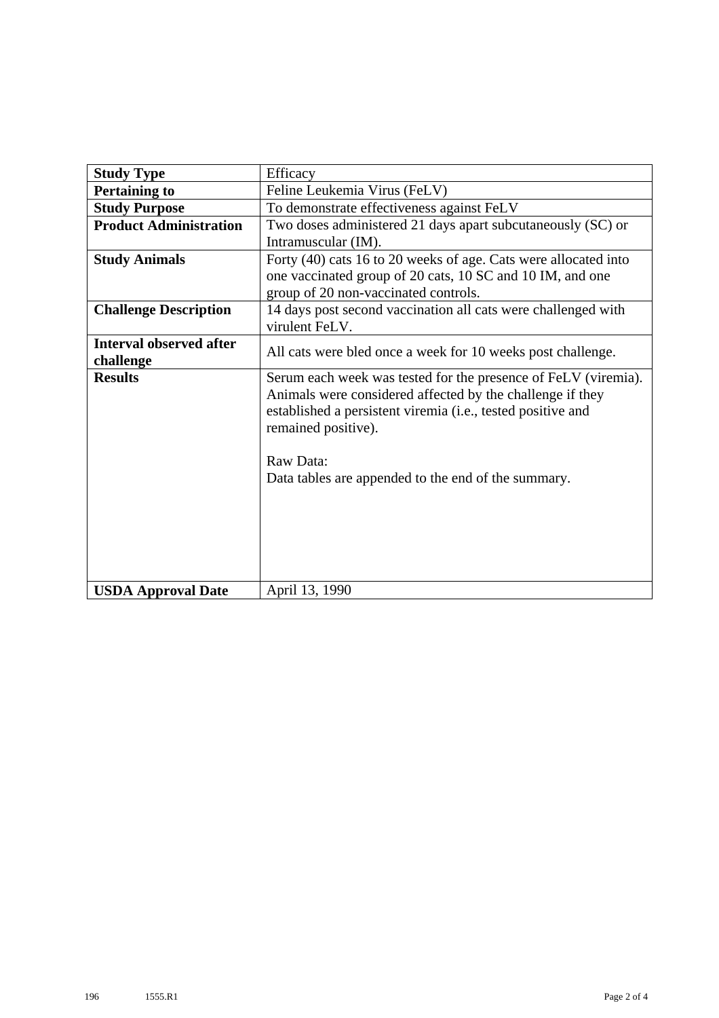| <b>Study Type</b>              | Efficacy                                                                                                                                                                                                          |  |  |  |  |  |
|--------------------------------|-------------------------------------------------------------------------------------------------------------------------------------------------------------------------------------------------------------------|--|--|--|--|--|
| <b>Pertaining to</b>           | Feline Leukemia Virus (FeLV)                                                                                                                                                                                      |  |  |  |  |  |
| <b>Study Purpose</b>           | To demonstrate effectiveness against FeLV                                                                                                                                                                         |  |  |  |  |  |
| <b>Product Administration</b>  | Two doses administered 21 days apart subcutaneously (SC) or                                                                                                                                                       |  |  |  |  |  |
|                                | Intramuscular (IM).                                                                                                                                                                                               |  |  |  |  |  |
| <b>Study Animals</b>           | Forty (40) cats 16 to 20 weeks of age. Cats were allocated into                                                                                                                                                   |  |  |  |  |  |
|                                | one vaccinated group of 20 cats, 10 SC and 10 IM, and one                                                                                                                                                         |  |  |  |  |  |
|                                | group of 20 non-vaccinated controls.                                                                                                                                                                              |  |  |  |  |  |
| <b>Challenge Description</b>   | 14 days post second vaccination all cats were challenged with                                                                                                                                                     |  |  |  |  |  |
|                                | virulent FeLV.                                                                                                                                                                                                    |  |  |  |  |  |
| <b>Interval observed after</b> | All cats were bled once a week for 10 weeks post challenge.                                                                                                                                                       |  |  |  |  |  |
| challenge                      |                                                                                                                                                                                                                   |  |  |  |  |  |
| <b>Results</b>                 | Serum each week was tested for the presence of FeLV (viremia).<br>Animals were considered affected by the challenge if they<br>established a persistent viremia (i.e., tested positive and<br>remained positive). |  |  |  |  |  |
|                                | Raw Data:                                                                                                                                                                                                         |  |  |  |  |  |
|                                | Data tables are appended to the end of the summary.                                                                                                                                                               |  |  |  |  |  |
| <b>USDA Approval Date</b>      | April 13, 1990                                                                                                                                                                                                    |  |  |  |  |  |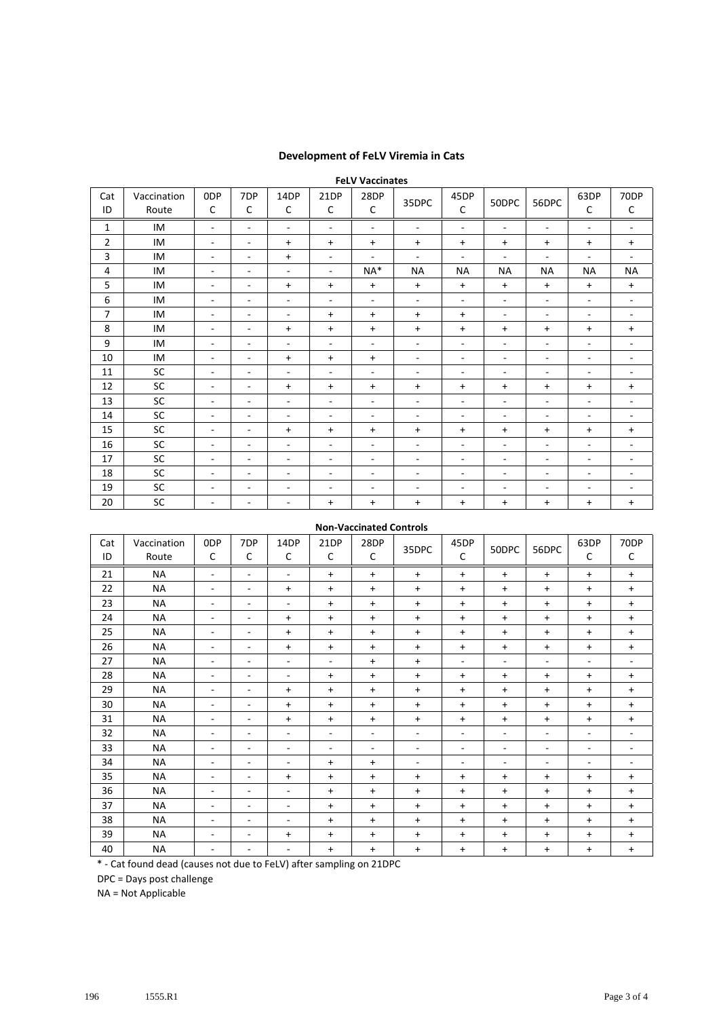## **Development of FeLV Viremia in Cats**

| <b>FeLV Vaccinates</b> |                      |                          |                          |                          |                          |                          |                          |                          |                          |                          |                          |                          |
|------------------------|----------------------|--------------------------|--------------------------|--------------------------|--------------------------|--------------------------|--------------------------|--------------------------|--------------------------|--------------------------|--------------------------|--------------------------|
| Cat<br>ID              | Vaccination<br>Route | 0DP<br>C                 | 7DP<br>C                 | 14DP<br>C                | 21DP<br>C                | 28DP<br>C                | 35DPC                    | 45DP<br>C                | 50DPC                    | 56DPC                    | 63DP<br>C                | 70DP<br>C                |
| 1                      | IM                   | $\sim$                   | ٠                        | $\blacksquare$           | $\blacksquare$           | $\blacksquare$           | $\sim$                   | $\blacksquare$           | ٠                        | $\sim$                   | $\blacksquare$           | $\overline{\phantom{a}}$ |
| $\overline{2}$         | IM                   | $\overline{\phantom{a}}$ | $\overline{\phantom{a}}$ | $\ddot{}$                | $\ddot{}$                | $+$                      | $\ddot{}$                | $\ddot{}$                | $+$                      | $+$                      | $\ddot{}$                | $\ddot{}$                |
| 3                      | IM                   | $\overline{\phantom{a}}$ | ٠                        | $\ddot{}$                | $\overline{\phantom{a}}$ | $\blacksquare$           | $\overline{\phantom{a}}$ | $\blacksquare$           | $\blacksquare$           | ٠                        | $\overline{\phantom{a}}$ | ٠                        |
| 4                      | IM                   | $\overline{\phantom{a}}$ | -                        | $\overline{\phantom{a}}$ | ٠                        | NA*                      | <b>NA</b>                | <b>NA</b>                | <b>NA</b>                | <b>NA</b>                | <b>NA</b>                | <b>NA</b>                |
| 5                      | IM                   | $\overline{\phantom{a}}$ | -                        | $\ddot{}$                | $\ddot{}$                | $\ddot{}$                | $\ddot{}$                | $\ddot{}$                | $+$                      | $+$                      | $\ddot{}$                | $\ddot{}$                |
| 6                      | IM                   | $\overline{\phantom{a}}$ | ٠                        | $\overline{\phantom{a}}$ | $\blacksquare$           | $\blacksquare$           | $\overline{\phantom{a}}$ | $\blacksquare$           | $\blacksquare$           | $\blacksquare$           | $\blacksquare$           | $\sim$                   |
| 7                      | IM                   | $\overline{\phantom{a}}$ | $\overline{\phantom{a}}$ | $\overline{\phantom{a}}$ | $\ddot{}$                | $\ddot{}$                | $\ddot{}$                | $\ddot{}$                | ٠                        | $\sim$                   | $\sim$                   | $\sim$                   |
| 8                      | IM                   | $\overline{\phantom{a}}$ | ٠                        | $\ddot{}$                | $\ddot{}$                | $\ddot{}$                | $\ddot{}$                | $\ddot{}$                | $\ddot{}$                | $\ddot{}$                | $\ddot{}$                | $\ddot{}$                |
| 9                      | IM                   | $\overline{\phantom{a}}$ | ۰                        | $\overline{\phantom{a}}$ | ٠                        | $\overline{\phantom{a}}$ | ٠                        | $\overline{\phantom{a}}$ | $\overline{\phantom{0}}$ | $\overline{\phantom{a}}$ | $\overline{\phantom{a}}$ | ٠                        |
| 10                     | IM                   | $\overline{\phantom{a}}$ | $\overline{\phantom{a}}$ | $\ddot{}$                | $\ddot{}$                | $\ddot{}$                | $\overline{\phantom{a}}$ | $\overline{\phantom{a}}$ | ٠                        | $\overline{\phantom{a}}$ | $\overline{\phantom{a}}$ | ۰.                       |
| 11                     | SC                   | $\overline{\phantom{a}}$ | ٠                        | $\overline{\phantom{a}}$ | $\blacksquare$           | ٠                        | ٠                        | $\overline{\phantom{a}}$ | ٠                        | ٠                        | $\overline{\phantom{a}}$ | ٠                        |
| 12                     | SC                   | $\overline{\phantom{a}}$ | ٠                        | $\ddot{}$                | $\ddot{}$                | $+$                      | $\ddot{}$                | $\ddot{}$                | $\ddot{}$                | $+$                      | $\ddot{}$                | $\ddot{}$                |
| 13                     | SC                   | $\overline{\phantom{a}}$ | ٠                        | $\overline{\phantom{a}}$ | -                        | $\overline{\phantom{a}}$ | ٠                        | $\overline{\phantom{a}}$ | ٠                        | $\overline{\phantom{a}}$ | $\sim$                   | Ξ.                       |
| 14                     | SC                   | $\overline{\phantom{a}}$ | -                        | $\overline{\phantom{a}}$ | ٠                        | ٠                        | ٠                        | $\overline{\phantom{a}}$ | $\overline{\phantom{0}}$ | ٠                        | $\overline{\phantom{a}}$ | ٠                        |
| 15                     | SC                   | $\overline{\phantom{a}}$ | ٠                        | $\ddot{}$                | $\ddot{}$                | $\ddot{}$                | $\ddot{}$                | $\ddot{}$                | $\ddot{}$                | $+$                      | $\ddot{}$                | $\ddot{}$                |
| 16                     | SC                   | $\overline{\phantom{a}}$ | ٠                        | $\sim$                   | ٠                        | ٠                        | ٠                        | $\overline{\phantom{a}}$ | ٠                        | ٠                        | $\overline{\phantom{a}}$ | ٠                        |
| 17                     | SC                   | $\overline{\phantom{a}}$ | ٠                        | $\sim$                   | $\overline{\phantom{a}}$ | $\overline{\phantom{a}}$ | ٠                        | $\overline{\phantom{a}}$ | $\overline{\phantom{a}}$ | $\overline{\phantom{a}}$ | $\overline{\phantom{a}}$ | ۰.                       |
| 18                     | SC                   | $\overline{\phantom{a}}$ | -                        | $\overline{\phantom{a}}$ | -                        | ۰                        | $\overline{\phantom{a}}$ | ٠                        | $\overline{\phantom{a}}$ | ٠                        | $\overline{\phantom{a}}$ | ۰                        |
| 19                     | SC                   | $\overline{\phantom{a}}$ | -                        | $\overline{\phantom{a}}$ | -                        | ٠                        | ٠                        | $\overline{\phantom{a}}$ | $\overline{\phantom{a}}$ | $\overline{\phantom{a}}$ | $\overline{\phantom{a}}$ | ٠                        |
| 20                     | SC                   | $\overline{\phantom{a}}$ | $\overline{\phantom{a}}$ | $\overline{\phantom{a}}$ | $\ddot{}$                | $\ddot{}$                | $\ddot{}$                | $\ddot{}$                | $\ddot{}$                | $+$                      | $\ddot{}$                | $\ddot{}$                |

## **Non‐Vaccinated Controls**

| Cat<br>ID | Vaccination<br>Route | 0DP<br>С                 | 7DP<br>C | 14DP<br>C                | 21DP<br>C                | 28DP<br>C | 35DPC     | 45DP<br>C                | 50DPC                    | 56DPC                    | 63DP<br>C                | 70DP<br>$\mathsf{C}$     |
|-----------|----------------------|--------------------------|----------|--------------------------|--------------------------|-----------|-----------|--------------------------|--------------------------|--------------------------|--------------------------|--------------------------|
| 21        | <b>NA</b>            | ٠                        | ۰        | ٠                        | $\ddot{}$                | $\ddot{}$ | $\ddot{}$ | $\ddot{}$                | $\ddot{}$                | $\ddot{}$                | $\ddot{}$                | $\ddot{}$                |
| 22        | <b>NA</b>            | $\overline{\phantom{a}}$ | ٠        | $\ddot{}$                | $\ddot{}$                | $\ddot{}$ | $\ddot{}$ | $\ddot{}$                | $\ddot{}$                | $\ddot{}$                | $\ddot{}$                | $+$                      |
| 23        | <b>NA</b>            | $\overline{\phantom{0}}$ | -        | ٠                        | $\ddot{}$                | $\ddot{}$ | $\ddot{}$ | $\ddot{}$                | $\ddot{}$                | $\ddot{}$                | $\ddot{}$                | $\ddot{}$                |
| 24        | <b>NA</b>            | $\overline{\phantom{0}}$ | ۰        | $\ddot{}$                | $\ddot{}$                | $\ddot{}$ | $\ddot{}$ | $\ddot{}$                | $\ddot{}$                | $\ddot{}$                | $\ddot{}$                | $+$                      |
| 25        | <b>NA</b>            | $\overline{\phantom{a}}$ | ۰        | $\ddot{}$                | $\ddot{}$                | $\ddot{}$ | $\ddot{}$ | $\ddot{}$                | $\ddot{}$                | $\ddot{}$                | $\ddot{}$                | $\ddot{}$                |
| 26        | <b>NA</b>            | $\overline{\phantom{0}}$ | ۰        | $\ddot{}$                | $\ddot{}$                | $\ddot{}$ | $\ddot{}$ | $\ddot{}$                | $\ddot{}$                | $\ddot{}$                | +                        | $\ddot{}$                |
| 27        | <b>NA</b>            | $\overline{\phantom{0}}$ | ÷        | ٠                        | $\sim$                   | $\ddot{}$ | $\ddot{}$ | ٠                        | $\overline{\phantom{0}}$ | $\overline{\phantom{a}}$ | ٠                        | ٠                        |
| 28        | <b>NA</b>            | ٠                        | ۰        | $\overline{\phantom{a}}$ | $\ddot{}$                | $\ddot{}$ | $\ddot{}$ | $\ddot{}$                | $\ddot{}$                | $\ddot{}$                | $\ddot{}$                | $+$                      |
| 29        | NA                   | $\overline{\phantom{0}}$ | ٠        | $\ddot{}$                | $\ddot{}$                | $\ddot{}$ | $\ddot{}$ | $\ddot{}$                | $\ddot{}$                | $\ddot{}$                | $\ddot{}$                | $+$                      |
| 30        | <b>NA</b>            | $\overline{\phantom{0}}$ | ۰        | $\ddot{}$                | $\ddot{}$                | $\ddot{}$ | $\ddot{}$ | $\ddot{}$                | $\ddot{}$                | $\ddot{}$                | $\ddot{}$                | $\ddot{}$                |
| 31        | NA                   | $\overline{\phantom{0}}$ | ۰        | $\ddot{}$                | $\ddot{}$                | $\ddot{}$ | $\ddot{}$ | $\ddot{}$                | $\ddot{}$                | $\ddot{}$                | $\ddot{}$                | $\ddot{}$                |
| 32        | <b>NA</b>            | ٠                        | ٠        | $\overline{\phantom{a}}$ | $\overline{\phantom{a}}$ | ٠         | ٠         | $\sim$                   | ٠                        | $\overline{\phantom{a}}$ | $\overline{\phantom{a}}$ | $\sim$                   |
| 33        | <b>NA</b>            | $\overline{\phantom{0}}$ | ۰        | $\overline{\phantom{a}}$ | $\overline{\phantom{a}}$ | ٠         | ٠         | $\overline{\phantom{a}}$ | $\overline{\phantom{0}}$ | $\overline{\phantom{a}}$ | $\overline{\phantom{a}}$ | $\overline{\phantom{a}}$ |
| 34        | ΝA                   | $\overline{\phantom{0}}$ | ۰        | $\overline{\phantom{a}}$ | $\ddot{}$                | $\ddot{}$ | ٠         | $\sim$                   | $\overline{\phantom{0}}$ | $\overline{\phantom{a}}$ | $\overline{\phantom{a}}$ | ٠                        |
| 35        | <b>NA</b>            | $\overline{\phantom{0}}$ | ۰        | $\ddot{}$                | $\ddot{}$                | $\ddot{}$ | $\ddot{}$ | $\ddot{}$                | $\ddot{}$                | $\ddot{}$                | +                        | $+$                      |
| 36        | <b>NA</b>            | $\overline{\phantom{0}}$ | ۰        | ٠                        | $\ddot{}$                | $\ddot{}$ | $\ddot{}$ | $\ddot{}$                | $\ddot{}$                | $\ddot{}$                | $\ddot{}$                | $\ddot{}$                |
| 37        | <b>NA</b>            | ٠                        | ۰        | $\overline{\phantom{a}}$ | $\ddot{}$                | $\ddot{}$ | $\ddot{}$ | $\ddot{}$                | $\ddot{}$                | $\ddot{}$                | $\ddot{}$                | $+$                      |
| 38        | <b>NA</b>            | $\overline{\phantom{0}}$ | ۰        | ۰                        | $+$                      | $\ddot{}$ | $\ddot{}$ | $\ddot{}$                | $\ddot{}$                | $\ddot{}$                | $\ddot{}$                | $+$                      |
| 39        | <b>NA</b>            | $\overline{\phantom{a}}$ | ۰        | $\ddot{}$                | $\ddot{}$                | $\ddot{}$ | $\ddot{}$ | $\ddot{}$                | $\ddot{}$                | $\ddot{}$                | +                        | $\ddot{}$                |
| 40        | NA                   | ٠                        | -        | ٠                        | $\ddot{}$                | $\ddot{}$ | $\ddot{}$ | $\ddot{}$                | $\ddot{}$                | $\ddot{}$                | $\ddot{}$                | $\ddot{}$                |

\* ‐ Cat found dead (causes not due to FeLV) after sampling on 21DPC

DPC = Days post challenge

NA = Not Applicable